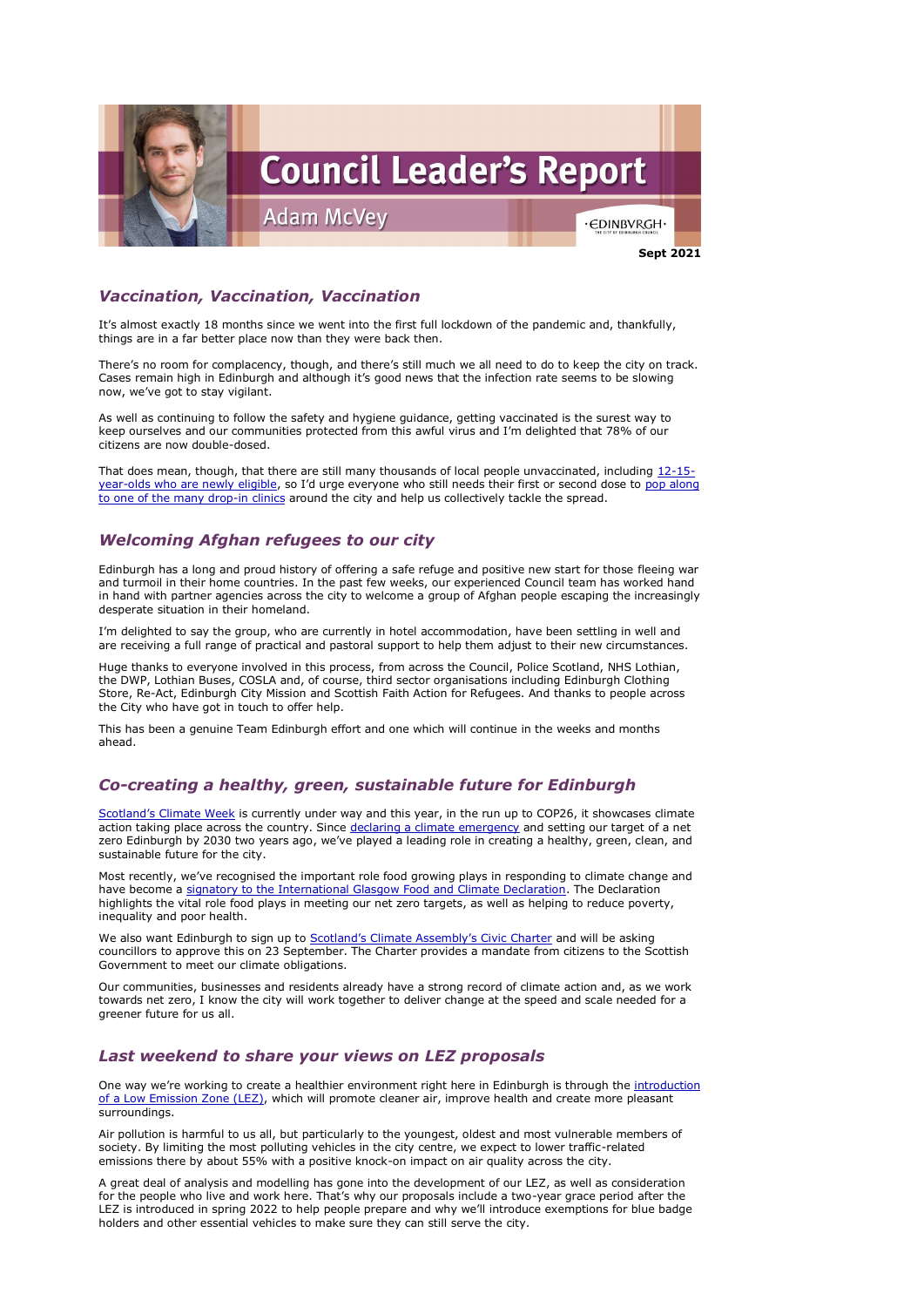

# *Vaccination, Vaccination, Vaccination*

It's almost exactly 18 months since we went into the first full lockdown of the pandemic and, thankfully, things are in a far better place now than they were back then.

There's no room for complacency, though, and there's still much we all need to do to keep the city on track. Cases remain high in Edinburgh and although it's good news that the infection rate seems to be slowing now, we've got to stay vigilant.

As well as continuing to follow the safety and hygiene guidance, getting vaccinated is the surest way to keep ourselves and our communities protected from this awful virus and I'm delighted that 78% of our citizens are now double-dosed.

That does mean, though, that there are still many thousands of local people unvaccinated, including [12-15](https://www.gov.scot/news/vaccinations-for-12-15-year-olds/) [year-olds who are newly eligible](https://www.gov.scot/news/vaccinations-for-12-15-year-olds/), so I'd urge everyone who still needs their first or second dose to [pop along](https://www.nhslothian.scot/Coronavirus/Vaccine/Pages/Drop-in-Clinics.aspx)  [to one of the many drop-in clinics](https://www.nhslothian.scot/Coronavirus/Vaccine/Pages/Drop-in-Clinics.aspx) around the city and help us collectively tackle the spread.

# *Welcoming Afghan refugees to our city*

Edinburgh has a long and proud history of offering a safe refuge and positive new start for those fleeing war and turmoil in their home countries. In the past few weeks, our experienced Council team has worked hand in hand with partner agencies across the city to welcome a group of Afghan people escaping the increasingly desperate situation in their homeland.

[Scotland's Climate Week](https://www.netzeronation.scot/whats-happening/scotlands-climate-week) is currently under way and this year, in the run up to COP26, it showcases climate action taking place across the country. Since [declaring a climate emergency](https://www.edinburgh.gov.uk/climate-2/climate-target-net-zero-2030/1) and setting our target of a net zero Edinburgh by 2030 two years ago, we've played a leading role in creating a healthy, green, clean, and sustainable future for the city.

I'm delighted to say the group, who are currently in hotel accommodation, have been settling in well and are receiving a full range of practical and pastoral support to help them adjust to their new circumstances.

We also want Edinburgh to sign up to [Scotland's Climate Assembly's Civic Charter](https://www.climateassembly.scot/civiccharter) and will be asking councillors to approve this on 23 September. The Charter provides a mandate from citizens to the Scottish Government to meet our climate obligations.

Huge thanks to everyone involved in this process, from across the Council, Police Scotland, NHS Lothian, the DWP, Lothian Buses, COSLA and, of course, third sector organisations including Edinburgh Clothing Store, Re-Act, Edinburgh City Mission and Scottish Faith Action for Refugees. And thanks to people across the City who have got in touch to offer help.

One way we're working to create a healthier environment right here in Edinburgh is through the *introduction* [of a Low Emission Zone \(LEZ\),](https://www.edinburgh.gov.uk/pollution/low-emission-zone-scheme/1) which will promote cleaner air, improve health and create more pleasant surroundings.

This has been a genuine Team Edinburgh effort and one which will continue in the weeks and months ahead.

# *Co-creating a healthy, green, sustainable future for Edinburgh*

Most recently, we've recognised the important role food growing plays in responding to climate change and have become a [signatory to the International Glasgow Food and Climate Declaration.](https://www.edinburgh.gov.uk/news/article/13299/city-commits-to-developing-edinburgh-as-a-sustainable-food-city) The Declaration highlights the vital role food plays in meeting our net zero targets, as well as helping to reduce poverty, inequality and poor health.

Our communities, businesses and residents already have a strong record of climate action and, as we work

towards net zero, I know the city will work together to deliver change at the speed and scale needed for a greener future for us all.

## *Last weekend to share your views on LEZ proposals*

Air pollution is harmful to us all, but particularly to the youngest, oldest and most vulnerable members of society. By limiting the most polluting vehicles in the city centre, we expect to lower traffic-related emissions there by about 55% with a positive knock-on impact on air quality across the city.

A great deal of analysis and modelling has gone into the development of our LEZ, as well as consideration for the people who live and work here. That's why our proposals include a two-year grace period after the LEZ is introduced in spring 2022 to help people prepare and why we'll introduce exemptions for blue badge holders and other essential vehicles to make sure they can still serve the city.